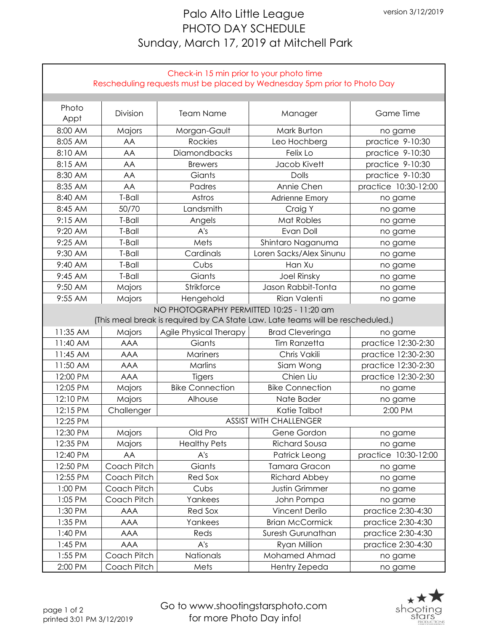## Palo Alto Little League PHOTO DAY SCHEDULE Sunday, March 17, 2019 at Mitchell Park

| Check-in 15 min prior to your photo time<br>Rescheduling requests must be placed by Wednesday 5pm prior to Photo Day |                                           |                        |                         |                      |  |  |  |  |
|----------------------------------------------------------------------------------------------------------------------|-------------------------------------------|------------------------|-------------------------|----------------------|--|--|--|--|
|                                                                                                                      |                                           |                        |                         |                      |  |  |  |  |
| Photo                                                                                                                |                                           |                        |                         |                      |  |  |  |  |
| Appt                                                                                                                 | Division                                  | <b>Team Name</b>       | Manager                 | Game Time            |  |  |  |  |
| 8:00 AM                                                                                                              | Majors                                    | Morgan-Gault           | Mark Burton             | no game              |  |  |  |  |
| 8:05 AM                                                                                                              | AA                                        | Rockies                | Leo Hochberg            | practice 9-10:30     |  |  |  |  |
| 8:10 AM                                                                                                              | AA                                        | Diamondbacks           | Felix Lo                | practice 9-10:30     |  |  |  |  |
| 8:15 AM                                                                                                              | AA                                        | <b>Brewers</b>         | Jacob Kivett            | practice 9-10:30     |  |  |  |  |
| 8:30 AM                                                                                                              | AA                                        | Giants                 | Dolls                   | practice 9-10:30     |  |  |  |  |
| 8:35 AM                                                                                                              | AA                                        | Padres                 | Annie Chen              | practice 10:30-12:00 |  |  |  |  |
| 8:40 AM                                                                                                              | T-Ball                                    | Astros                 | <b>Adrienne Emory</b>   | no game              |  |  |  |  |
| 8:45 AM                                                                                                              | 50/70                                     | Landsmith              | Craig Y                 | no game              |  |  |  |  |
| 9:15 AM                                                                                                              | T-Ball                                    | Angels                 | Mat Robles              | no game              |  |  |  |  |
| 9:20 AM                                                                                                              | T-Ball                                    | A's                    | Evan Doll               | no game              |  |  |  |  |
| 9:25 AM                                                                                                              | T-Ball                                    | Mets                   | Shintaro Naganuma       | no game              |  |  |  |  |
| 9:30 AM                                                                                                              | T-Ball                                    | Cardinals              | Loren Sacks/Alex Sinunu | no game              |  |  |  |  |
| 9:40 AM                                                                                                              | T-Ball                                    | Cubs                   | Han Xu                  | no game              |  |  |  |  |
| 9:45 AM                                                                                                              | T-Ball                                    | Giants                 | <b>Joel Rinsky</b>      | no game              |  |  |  |  |
| 9:50 AM                                                                                                              | Majors                                    | Strikforce             | Jason Rabbit-Tonta      | no game              |  |  |  |  |
| 9:55 AM                                                                                                              | Majors                                    | Hengehold              | Rian Valenti            | no game              |  |  |  |  |
|                                                                                                                      | NO PHOTOGRAPHY PERMITTED 10:25 - 11:20 am |                        |                         |                      |  |  |  |  |
| (This meal break is required by CA State Law. Late teams will be rescheduled.)                                       |                                           |                        |                         |                      |  |  |  |  |
| 11:35 AM                                                                                                             | Majors                                    | Agile Physical Therapy | <b>Brad Cleveringa</b>  | no game              |  |  |  |  |
| 11:40 AM                                                                                                             | <b>AAA</b>                                | Giants                 | <b>Tim Ranzetta</b>     | practice 12:30-2:30  |  |  |  |  |
| 11:45 AM                                                                                                             | <b>AAA</b>                                | Mariners               | Chris Vakili            | practice 12:30-2:30  |  |  |  |  |
| 11:50 AM                                                                                                             | <b>AAA</b>                                | Marlins                | Siam Wong               | practice 12:30-2:30  |  |  |  |  |
| 12:00 PM                                                                                                             | <b>AAA</b>                                | Tigers                 | Chien Liu               | practice 12:30-2:30  |  |  |  |  |
| 12:05 PM                                                                                                             | Majors                                    | <b>Bike Connection</b> | <b>Bike Connection</b>  | no game              |  |  |  |  |
| 12:10 PM                                                                                                             | Majors                                    | Alhouse                | Nate Bader              | no game              |  |  |  |  |
| 12:15 PM                                                                                                             | Challenger                                |                        | Katie Talbot            | 2:00 PM              |  |  |  |  |
| 12:25 PM                                                                                                             | <b>ASSIST WITH CHALLENGER</b>             |                        |                         |                      |  |  |  |  |
| 12:30 PM                                                                                                             | Majors                                    | Old Pro                | Gene Gordon             | no game              |  |  |  |  |
| 12:35 PM                                                                                                             | Majors                                    | <b>Healthy Pets</b>    | <b>Richard Sousa</b>    | no game              |  |  |  |  |
| 12:40 PM                                                                                                             | AA                                        | A's                    | Patrick Leong           | practice 10:30-12:00 |  |  |  |  |
| 12:50 PM                                                                                                             | Coach Pitch                               | Giants                 | <b>Tamara Gracon</b>    | no game              |  |  |  |  |
| 12:55 PM                                                                                                             | Coach Pitch                               | Red Sox                | <b>Richard Abbey</b>    | no game              |  |  |  |  |
| 1:00 PM                                                                                                              | Coach Pitch                               | Cubs                   | <b>Justin Grimmer</b>   | no game              |  |  |  |  |
| 1:05 PM                                                                                                              | Coach Pitch                               | Yankees                | John Pompa              | no game              |  |  |  |  |
| 1:30 PM                                                                                                              | <b>AAA</b>                                | Red Sox                | <b>Vincent Derilo</b>   | practice 2:30-4:30   |  |  |  |  |
| 1:35 PM                                                                                                              | <b>AAA</b>                                | Yankees                | <b>Brian McCormick</b>  | practice 2:30-4:30   |  |  |  |  |
| 1:40 PM                                                                                                              | <b>AAA</b>                                | Reds                   | Suresh Gurunathan       | practice 2:30-4:30   |  |  |  |  |
| 1:45 PM                                                                                                              | <b>AAA</b>                                | A's                    | Ryan Million            | practice 2:30-4:30   |  |  |  |  |
| 1:55 PM                                                                                                              | Coach Pitch                               | Nationals              | Mohamed Ahmad           | no game              |  |  |  |  |
| 2:00 PM                                                                                                              | Coach Pitch                               | Mets                   | Hentry Zepeda           | no game              |  |  |  |  |